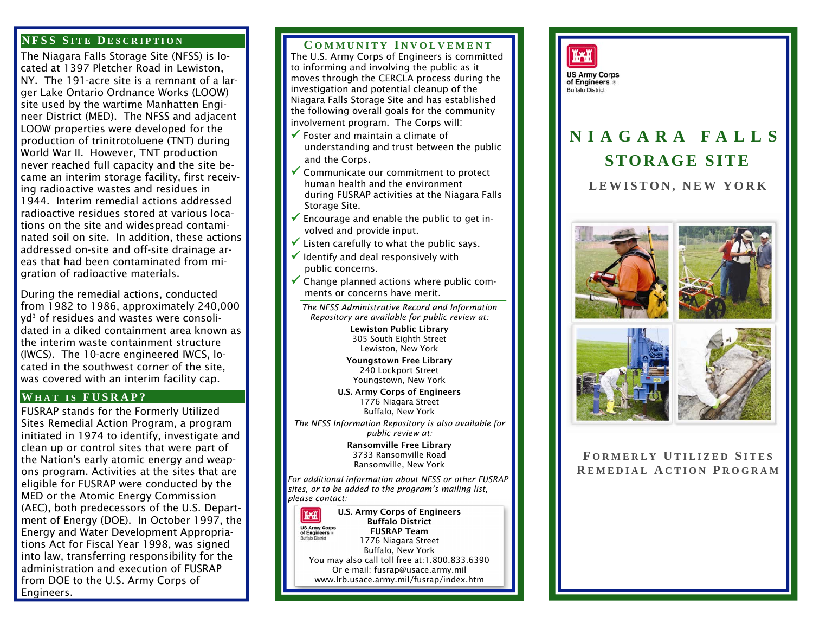### **NFSS S ITE D ESCRIPTION**

The Niagara Falls Storage Site (NFSS) is located at 1397 Pletcher Road in Lewiston, NY. The 191-acre site is a remnant of a larger Lake Ontario Ordnance Works (LOOW) site used by the wartime Manhatten Engineer District (MED). The NFSS and adjacent LOOW properties were developed for the production of trinitrotoluene (TNT) during World War II. However, TNT production never reached full capacity and the site became an interim storage facility, first receiving radioactive wastes and residues in 1944. Interim remedial actions addressed radioactive residues stored at various locations on the site and widespread contaminated soil on site. In addition, these actions addressed on-site and off-site drainage areas that had been contaminated from migration of radioactive materials.

During the remedial actions, conducted from 1982 to 1986, approximately 240,000 yd<sup>3</sup> of residues and wastes were consolidated in a diked containment area known as the interim waste containment structure (IWCS). The 10-acre engineered IWCS, located in the southwest corner of the site, was covered with an interim facility cap.

# **W HAT <sup>I</sup> S FUSRAP?**

FUSRAP stands for the Formerly Utilized Sites Remedial Action Program, a program initiated in 1974 to identify, investigate and clean up or control sites that were part of the Nation's early atomic energy and weapons program. Activities at the sites that are eligible for FUSRAP were conducted by the MED or the Atomic Energy Commission (AEC), both predecessors of the U.S. Department of Energy (DOE). In October 1997, the Energy and Water Development Appropriations Act for Fiscal Year 1998, was signed into law, transferring responsibility for the administration and execution of FUSRAP from DOE to the U.S. Army Corps of Engineers.

## **C OMMUNITY I NVOLVEMENT**

The U.S. Army Corps of Engineers is committed to informing and involving the public as it moves through the CERCLA process during the investigation and potential cleanup of the Niagara Falls Storage Site and has established the following overall goals for the community involvement program. The Corps will:

- $\checkmark$  Foster and maintain a climate of understanding and trust between the public and the Corps.
- $\checkmark$  Communicate our commitment to protect human health and the environment during FUSRAP activities at the Niagara Falls Storage Site.
- $\checkmark$  Encourage and enable the public to get involved and provide input.
- $\checkmark$  Listen carefully to what the public says.
- $\checkmark$  Identify and deal responsively with public concerns.
- $\checkmark$  Change planned actions where public comments or concerns have merit.

*The NFSS Administrative Record and Information Repository are available for public review at:* 

> Lewiston Public Library 305 South Eighth Street Lewiston, New York

Youngstown Free Library 240 Lockport Street Youngstown, New York

U.S. Army Corps of Engineers 1776 Niagara Street Buffalo, New York

*The NFSS Information Repository is also available for public review at:* 

> Ransomville Free Library 3733 Ransomville Road Ransomville, New York

*For additional information about NFSS or other FUSRAP sites, or to be added to the program's mailing list, please contact:* 

U.S. Army Corps of Engineers **TAH** Buffalo District **US Army Corps**<br>of Engineers FUSRAP Team 1776 Niagara Street Buffalo, New York You may also call toll free at:1.800.833.6390 Or e-mail: fusrap@usace.army.mil www.lrb.usace.army.mil/fusrap/index.htm



# **NIAGARA FALLS STORAGE SITE**

**LEWISTON, NEW YORK** 







**F ORMERLY U TILIZED S ITES R EMEDIAL A CTION P ROGRAM**